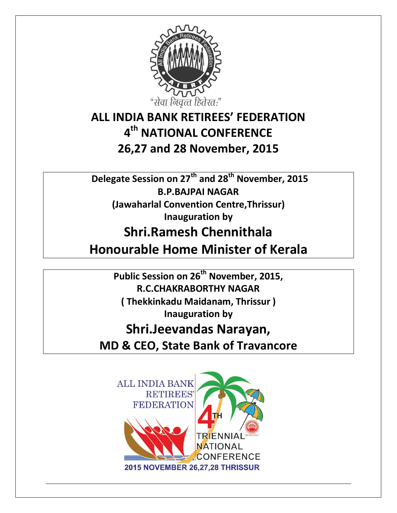

### **ALL INDIA BANK RETIREES' FEDERATION 4 th NATIONAL CONFERENCE 26,27 and 28 November, 2015**

**Delegate Session on 27th and 28th November, 2015 B.P.BAJPAI NAGAR (Jawaharlal Convention Centre,Thrissur) Inauguration by**

# **Shri.Ramesh Chennithala**

**Honourable Home Minister of Kerala**

**Public Session on 26th November, 2015, R.C.CHAKRABORTHY NAGAR ( Thekkinkadu Maidanam, Thrissur ) Inauguration by**

## **Shri.Jeevandas Narayan,**

**MD & CEO, State Bank of Travancore**